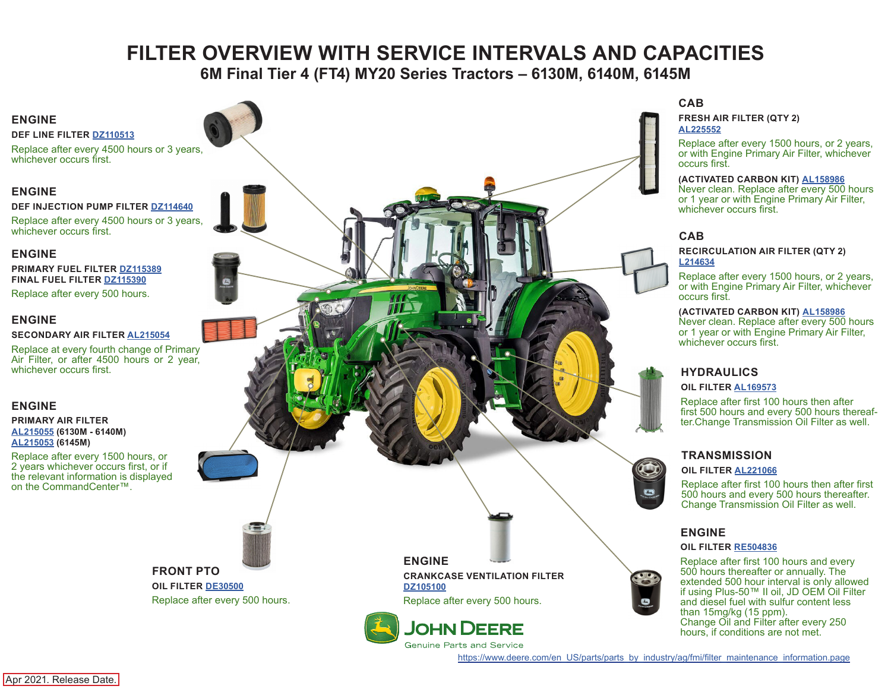# **FILTER OVERVIEW WITH SERVICE INTERVALS AND CAPACITIES**

**6M Final Tier 4 (FT4) MY20 Series Tractors – 6130M, 6140M, 6145M**

# <span id="page-0-0"></span>**ENGINE**

**DEF LINE FILTER [DZ110513](https://jdparts.deere.com/servlet/com.deere.u90.jdparts.view.servlets.partinfocontroller.PartDetails?screenName=JDSearch&&partSearchNumber=DZ110513)**

Replace after every 4500 hours or 3 years, whichever occurs first.

#### **ENGINE**

**DEF INJECTION PUMP FILTER [DZ114640](https://jdparts.deere.com/servlet/com.deere.u90.jdparts.view.servlets.partinfocontroller.PartDetails?screenName=JDSearch&&partSearchNumber=DZ114640)**

Replace after every 4500 hours or 3 years, whichever occurs first.

#### **ENGINE**

**PRIMARY FUEL FILTER [DZ115389](https://jdparts.deere.com/servlet/com.deere.u90.jdparts.view.servlets.partinfocontroller.PartDetails?screenName=JDSearch&&partSearchNumber=DZ115389) FINAL FUEL FILTER [DZ115390](https://jdparts.deere.com/servlet/com.deere.u90.jdparts.view.servlets.partinfocontroller.PartDetails?screenName=JDSearch&&partSearchNumber=DZ115390)**

Replace after every 500 hours.

#### **ENGINE**

#### **SECONDARY AIR FILTER [AL215054](https://jdparts.deere.com/servlet/com.deere.u90.jdparts.view.servlets.partinfocontroller.PartDetails?screenName=JDSearch&&partSearchNumber=AL215054)**

Replace at every fourth change of Primary Air Filter, or after 4500 hours or 2 year, whichever occurs first.

#### **ENGINE**

#### **PRIMARY AIR FILTER [AL215055](https://jdparts.deere.com/servlet/com.deere.u90.jdparts.view.servlets.partinfocontroller.PartDetails?screenName=JDSearch&&partSearchNumber=AL215055) (6130M - 6140M) [AL215053](https://jdparts.deere.com/servlet/com.deere.u90.jdparts.view.servlets.partinfocontroller.PartDetails?screenName=JDSearch&&partSearchNumber=AL215053) (6145M)**

Replace after every 1500 hours, or 2 years whichever occurs first, or if the relevant information is displayed on the CommandCenter™.

# **FRONT PTO**

**OIL FILTER [DE30500](https://jdparts.deere.com/servlet/com.deere.u90.jdparts.view.servlets.partinfocontroller.PartDetails?screenName=JDSearch&&partSearchNumber=DE30500)** Replace after every 500 hours. **ENGINE**

**CRANKCASE VENTILATION FILTER [DZ105100](https://jdparts.deere.com/servlet/com.deere.u90.jdparts.view.servlets.partinfocontroller.PartDetails?screenName=JDSearch&&partSearchNumber=DZ105100)**

Replace after every 500 hours.

**CAB**

**[AL225552](https://jdparts.deere.com/servlet/com.deere.u90.jdparts.view.servlets.partinfocontroller.PartDetails?screenName=JDSearch&&partSearchNumber=AL225552)**

occurs first.

**FRESH AIR FILTER (QTY 2)**

#### **CAB RECIRCULATION AIR FILTER (QTY 2) [L214634](https://jdparts.deere.com/servlet/com.deere.u90.jdparts.view.servlets.partinfocontroller.PartDetails?screenName=JDSearch&&partSearchNumber=L214634)**

**(ACTIVATED CARBON KIT) [AL158986](https://jdparts.deere.com/servlet/com.deere.u90.jdparts.view.servlets.partinfocontroller.PartDetails?screenName=JDSearch&&partSearchNumber=AL177184)** Never clean. Replace after every 500 hours or 1 year or with Engine Primary Air Filter,

Replace after every 1500 hours, or 2 years, or with Engine Primary Air Filter, whichever occurs first.

Replace after every 1500 hours, or 2 years, or with Engine Primary Air Filter, whichever

**(ACTIVATED CARBON KIT) [AL158986](https://jdparts.deere.com/servlet/com.deere.u90.jdparts.view.servlets.partinfocontroller.PartDetails?screenName=JDSearch&&partSearchNumber=AL177184)** Never clean. Replace after every 500 hours or 1 year or with Engine Primary Air Filter,

#### **HYDRAULICS**

#### **OIL FILTER [AL169573](https://jdparts.deere.com/servlet/com.deere.u90.jdparts.view.servlets.partinfocontroller.PartDetails?screenName=JDSearch&&partSearchNumber=AL169573)**

whichever occurs first.

whichever occurs first.

Replace after first 100 hours then after first 500 hours and every 500 hours thereafter.Change Transmission Oil Filter as well.

#### **TRANSMISSION**

#### **OIL FILTER [AL221066](https://jdparts.deere.com/servlet/com.deere.u90.jdparts.view.servlets.partinfocontroller.PartDetails?screenName=JDSearch&&partSearchNumber=AL221066)**

Replace after first 100 hours then after first 500 hours and every 500 hours thereafter. Change Transmission Oil Filter as well.

#### **ENGINE**

#### **OIL FILTER [RE504836](https://jdparts.deere.com/servlet/com.deere.u90.jdparts.view.servlets.partinfocontroller.PartDetails?screenName=JDSearch&&partSearchNumber=RE504836)**

Replace after first 100 hours and every 500 hours thereafter or annually. The extended 500 hour interval is only allowed if using Plus-50™ II oil, JD OEM Oil Filter and diesel fuel with sulfur content less than 15mg/kg (15 ppm). Change Oil and Filter after every 250 hours, if conditions are not met.

[https://www.deere.com/en\\_US/parts/parts\\_by\\_industry/ag/fmi/filter\\_maintenance\\_information.page](https://www.deere.com/en_US/parts/parts_by_industry/ag/fmi/filter_maintenance_information.page)

Apr 2021. Release Date.